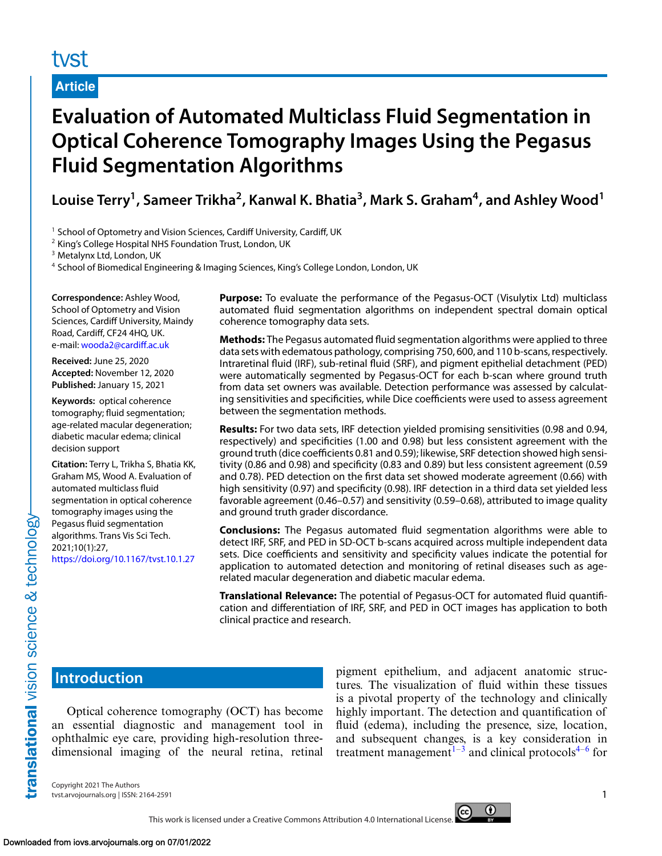# tyst

# **Article**

# **Evaluation of Automated Multiclass Fluid Segmentation in Optical Coherence Tomography Images Using the Pegasus Fluid Segmentation Algorithms**

Louise Terry<sup>1</sup>, Sameer Trikha<sup>2</sup>, Kanwal K. Bhatia<sup>3</sup>, Mark S. Graham<sup>4</sup>, and Ashley Wood<sup>1</sup>

<sup>1</sup> School of Optometry and Vision Sciences, Cardiff University, Cardiff, UK

<sup>2</sup> King's College Hospital NHS Foundation Trust, London, UK

<sup>3</sup> Metalynx Ltd, London, UK

<sup>4</sup> School of Biomedical Engineering & Imaging Sciences, King's College London, London, UK

**Correspondence:** Ashley Wood, School of Optometry and Vision Sciences, Cardiff University, Maindy Road, Cardiff, CF24 4HQ, UK. e-mail: [wooda2@cardiff.ac.uk](mailto:wooda2@cardiff.ac.uk)

**Received:** June 25, 2020 **Accepted:** November 12, 2020 **Published:** January 15, 2021

**Keywords:** optical coherence tomography; fluid segmentation; age-related macular degeneration; diabetic macular edema; clinical decision support

**Citation:** Terry L, Trikha S, Bhatia KK, Graham MS, Wood A. Evaluation of automated multiclass fluid segmentation in optical coherence tomography images using the Pegasus fluid segmentation algorithms. Trans Vis Sci Tech. 2021;10(1):27,

<https://doi.org/10.1167/tvst.10.1.27>

**Purpose:** To evaluate the performance of the Pegasus-OCT (Visulytix Ltd) multiclass automated fluid segmentation algorithms on independent spectral domain optical coherence tomography data sets.

**Methods:** The Pegasus automated fluid segmentation algorithms were applied to three data sets with edematous pathology, comprising 750, 600, and 110 b-scans, respectively. Intraretinal fluid (IRF), sub-retinal fluid (SRF), and pigment epithelial detachment (PED) were automatically segmented by Pegasus-OCT for each b-scan where ground truth from data set owners was available. Detection performance was assessed by calculating sensitivities and specificities, while Dice coefficients were used to assess agreement between the segmentation methods.

**Results:** For two data sets, IRF detection yielded promising sensitivities (0.98 and 0.94, respectively) and specificities (1.00 and 0.98) but less consistent agreement with the ground truth (dice coefficients 0.81 and 0.59); likewise, SRF detection showed high sensitivity (0.86 and 0.98) and specificity (0.83 and 0.89) but less consistent agreement (0.59 and 0.78). PED detection on the first data set showed moderate agreement (0.66) with high sensitivity (0.97) and specificity (0.98). IRF detection in a third data set yielded less favorable agreement (0.46–0.57) and sensitivity (0.59–0.68), attributed to image quality and ground truth grader discordance.

**Conclusions:** The Pegasus automated fluid segmentation algorithms were able to detect IRF, SRF, and PED in SD-OCT b-scans acquired across multiple independent data sets. Dice coefficients and sensitivity and specificity values indicate the potential for application to automated detection and monitoring of retinal diseases such as agerelated macular degeneration and diabetic macular edema.

**Translational Relevance:** The potential of Pegasus-OCT for automated fluid quantification and differentiation of IRF, SRF, and PED in OCT images has application to both clinical practice and research.

# **Introduction**

Optical coherence tomography (OCT) has become an essential diagnostic and management tool in ophthalmic eye care, providing high-resolution threedimensional imaging of the neural retina, retinal

pigment epithelium, and adjacent anatomic structures. The visualization of fluid within these tissues is a pivotal property of the technology and clinically highly important. The detection and quantification of fluid (edema), including the presence, size, location, and subsequent changes, is a key consideration in treatment management $1-3$  and clinical protocols<sup>[4–6](#page-6-0)</sup> for

Copyright 2021 The Authors tvst.arvojournals.org | ISSN: 2164-2591 1

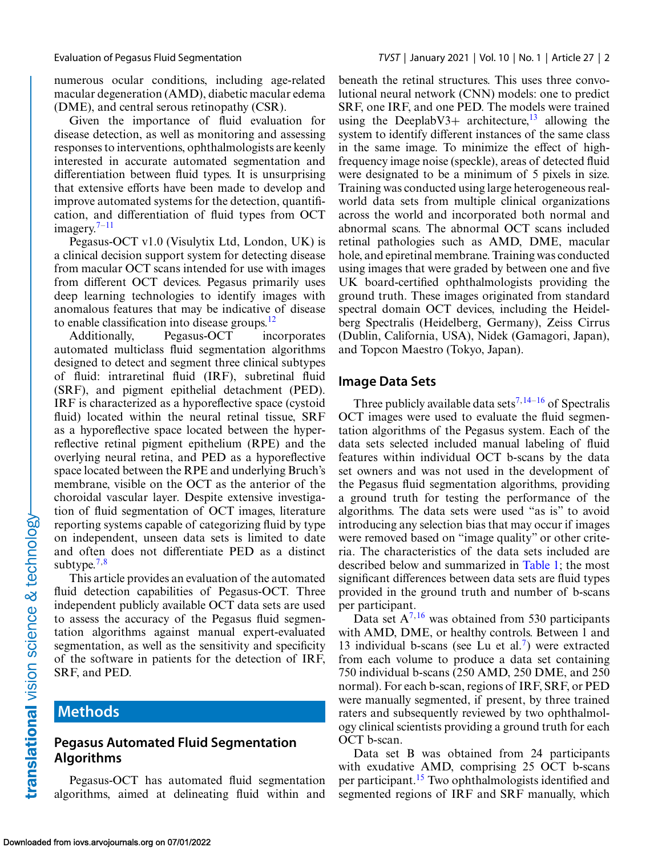numerous ocular conditions, including age-related macular degeneration (AMD), diabetic macular edema (DME), and central serous retinopathy (CSR).

Given the importance of fluid evaluation for disease detection, as well as monitoring and assessing responses to interventions, ophthalmologists are keenly interested in accurate automated segmentation and differentiation between fluid types. It is unsurprising that extensive efforts have been made to develop and improve automated systems for the detection, quantification, and differentiation of fluid types from OCT imagery. $7-11$ 

Pegasus-OCT v1.0 (Visulytix Ltd, London, UK) is a clinical decision support system for detecting disease from macular OCT scans intended for use with images from different OCT devices. Pegasus primarily uses deep learning technologies to identify images with anomalous features that may be indicative of disease to enable classification into disease groups. $^{12}$  $^{12}$  $^{12}$ 

Additionally, Pegasus-OCT incorporates automated multiclass fluid segmentation algorithms designed to detect and segment three clinical subtypes of fluid: intraretinal fluid (IRF), subretinal fluid (SRF), and pigment epithelial detachment (PED). IRF is characterized as a hyporeflective space (cystoid fluid) located within the neural retinal tissue, SRF as a hyporeflective space located between the hyperreflective retinal pigment epithelium (RPE) and the overlying neural retina, and PED as a hyporeflective space located between the RPE and underlying Bruch's membrane, visible on the OCT as the anterior of the choroidal vascular layer. Despite extensive investigation of fluid segmentation of OCT images, literature reporting systems capable of categorizing fluid by type on independent, unseen data sets is limited to date and often does not differentiate PED as a distinct subtype.<sup>[7,8](#page-6-0)</sup>

This article provides an evaluation of the automated fluid detection capabilities of Pegasus-OCT. Three independent publicly available OCT data sets are used to assess the accuracy of the Pegasus fluid segmentation algorithms against manual expert-evaluated segmentation, as well as the sensitivity and specificity of the software in patients for the detection of IRF, SRF, and PED.

# **Methods**

translational vision science & technology-

# **Pegasus Automated Fluid Segmentation Algorithms**

Pegasus-OCT has automated fluid segmentation algorithms, aimed at delineating fluid within and beneath the retinal structures. This uses three convolutional neural network (CNN) models: one to predict SRF, one IRF, and one PED. The models were trained using the DeeplabV3+ architecture,<sup>[13](#page-7-0)</sup> allowing the system to identify different instances of the same class in the same image. To minimize the effect of highfrequency image noise (speckle), areas of detected fluid were designated to be a minimum of 5 pixels in size. Training was conducted using large heterogeneous realworld data sets from multiple clinical organizations across the world and incorporated both normal and abnormal scans. The abnormal OCT scans included retinal pathologies such as AMD, DME, macular hole, and epiretinal membrane. Training was conducted using images that were graded by between one and five UK board-certified ophthalmologists providing the ground truth. These images originated from standard spectral domain OCT devices, including the Heidelberg Spectralis (Heidelberg, Germany), Zeiss Cirrus (Dublin, California, USA), Nidek (Gamagori, Japan), and Topcon Maestro (Tokyo, Japan).

## **Image Data Sets**

Three publicly available data sets<sup>[7,](#page-6-0)[14–16](#page-7-0)</sup> of Spectralis OCT images were used to evaluate the fluid segmentation algorithms of the Pegasus system. Each of the data sets selected included manual labeling of fluid features within individual OCT b-scans by the data set owners and was not used in the development of the Pegasus fluid segmentation algorithms, providing a ground truth for testing the performance of the algorithms. The data sets were used "as is" to avoid introducing any selection bias that may occur if images were removed based on "image quality" or other criteria. The characteristics of the data sets included are described below and summarized in [Table 1;](#page-2-0) the most significant differences between data sets are fluid types provided in the ground truth and number of b-scans per participant.

Data set  $A^{7,16}$  $A^{7,16}$  $A^{7,16}$  $A^{7,16}$  was obtained from 530 participants with AMD, DME, or healthy controls. Between 1 and 13 individual b-scans (see Lu et al.<sup>7</sup>) were extracted from each volume to produce a data set containing 750 individual b-scans (250 AMD, 250 DME, and 250 normal). For each b-scan, regions of IRF, SRF, or PED were manually segmented, if present, by three trained raters and subsequently reviewed by two ophthalmology clinical scientists providing a ground truth for each OCT b-scan.

Data set B was obtained from 24 participants with exudative AMD, comprising 25 OCT b-scans per participant[.15](#page-7-0) Two ophthalmologists identified and segmented regions of IRF and SRF manually, which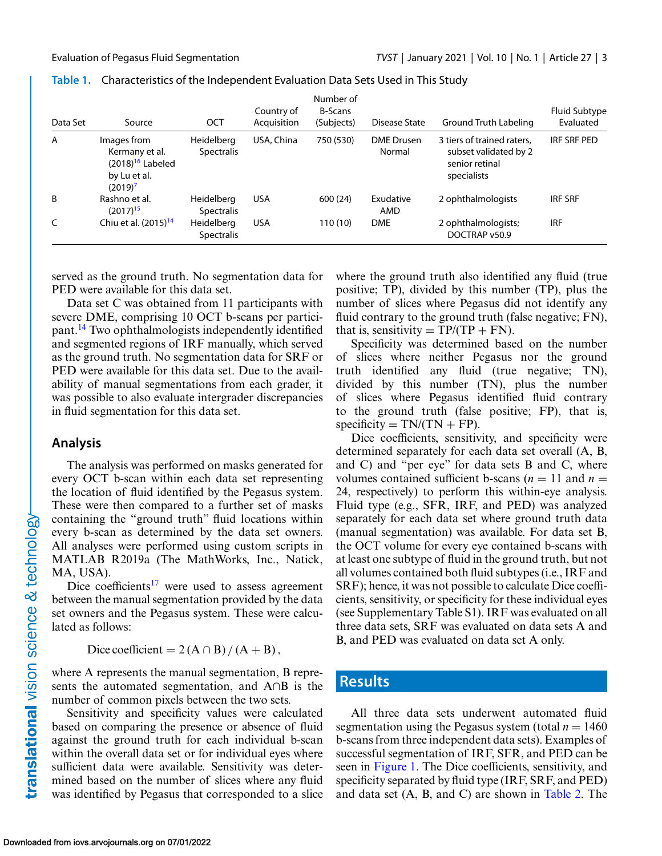| Data Set       | Source                                                                            | OCT                             | Country of<br>Acquisition | Number of<br><b>B-Scans</b><br>(Subjects) | Disease State               | Ground Truth Labeling                                                                | <b>Fluid Subtype</b><br>Evaluated |
|----------------|-----------------------------------------------------------------------------------|---------------------------------|---------------------------|-------------------------------------------|-----------------------------|--------------------------------------------------------------------------------------|-----------------------------------|
| $\overline{A}$ | Images from<br>Kermany et al.<br>$(2018)16$ Labeled<br>by Lu et al.<br>$(2019)^7$ | Heidelberg<br><b>Spectralis</b> | USA, China                | 750 (530)                                 | <b>DME</b> Drusen<br>Normal | 3 tiers of trained raters.<br>subset validated by 2<br>senior retinal<br>specialists | IRF SRF PED                       |
| B              | Rashno et al.<br>$(2017)^{15}$                                                    | Heidelberg<br><b>Spectralis</b> | <b>USA</b>                | 600 (24)                                  | Exudative<br>AMD            | 2 ophthalmologists                                                                   | <b>IRF SRF</b>                    |
| C              | Chiu et al. $(2015)^{14}$                                                         | Heidelberg<br><b>Spectralis</b> | <b>USA</b>                | 110 (10)                                  | <b>DME</b>                  | 2 ophthalmologists;<br>DOCTRAP v50.9                                                 | <b>IRF</b>                        |

<span id="page-2-0"></span>

| Table 1. Characteristics of the Independent Evaluation Data Sets Used in This Study |  |
|-------------------------------------------------------------------------------------|--|
|                                                                                     |  |

served as the ground truth. No segmentation data for PED were available for this data set.

Data set C was obtained from 11 participants with severe DME, comprising 10 OCT b-scans per participant[.14](#page-7-0) Two ophthalmologists independently identified and segmented regions of IRF manually, which served as the ground truth. No segmentation data for SRF or PED were available for this data set. Due to the availability of manual segmentations from each grader, it was possible to also evaluate intergrader discrepancies in fluid segmentation for this data set.

### **Analysis**

The analysis was performed on masks generated for every OCT b-scan within each data set representing the location of fluid identified by the Pegasus system. These were then compared to a further set of masks containing the "ground truth" fluid locations within every b-scan as determined by the data set owners. All analyses were performed using custom scripts in MATLAB R2019a (The MathWorks, Inc., Natick, MA, USA).

Dice coefficients<sup>[17](#page-7-0)</sup> were used to assess agreement between the manual segmentation provided by the data set owners and the Pegasus system. These were calculated as follows:

Dice coefficient =  $2(A \cap B)/(A + B)$ ,

where A represents the manual segmentation, B represents the automated segmentation, and A∩B is the number of common pixels between the two sets.

Sensitivity and specificity values were calculated based on comparing the presence or absence of fluid against the ground truth for each individual b-scan within the overall data set or for individual eyes where sufficient data were available. Sensitivity was determined based on the number of slices where any fluid was identified by Pegasus that corresponded to a slice

where the ground truth also identified any fluid (true positive; TP), divided by this number (TP), plus the number of slices where Pegasus did not identify any fluid contrary to the ground truth (false negative; FN), that is, sensitivity =  $TP/(TP + FN)$ .

Specificity was determined based on the number of slices where neither Pegasus nor the ground truth identified any fluid (true negative; TN), divided by this number (TN), plus the number of slices where Pegasus identified fluid contrary to the ground truth (false positive; FP), that is,  $specificity = TN/(TN + FP).$ 

Dice coefficients, sensitivity, and specificity were determined separately for each data set overall (A, B, and C) and "per eye" for data sets B and C, where volumes contained sufficient b-scans  $(n = 11$  and  $n =$ 24, respectively) to perform this within-eye analysis. Fluid type (e.g., SFR, IRF, and PED) was analyzed separately for each data set where ground truth data (manual segmentation) was available. For data set B, the OCT volume for every eye contained b-scans with at least one subtype of fluid in the ground truth, but not all volumes contained both fluid subtypes (i.e., IRF and SRF); hence, it was not possible to calculate Dice coefficients, sensitivity, or specificity for these individual eyes (see Supplementary Table S1). IRF was evaluated on all three data sets, SRF was evaluated on data sets A and B, and PED was evaluated on data set A only.

# **Results**

All three data sets underwent automated fluid segmentation using the Pegasus system (total  $n = 1460$ ) b-scans from three independent data sets). Examples of successful segmentation of IRF, SFR, and PED can be seen in [Figure 1.](#page-3-0) The Dice coefficients, sensitivity, and specificity separated by fluid type (IRF, SRF, and PED) and data set (A, B, and C) are shown in [Table 2.](#page-3-0) The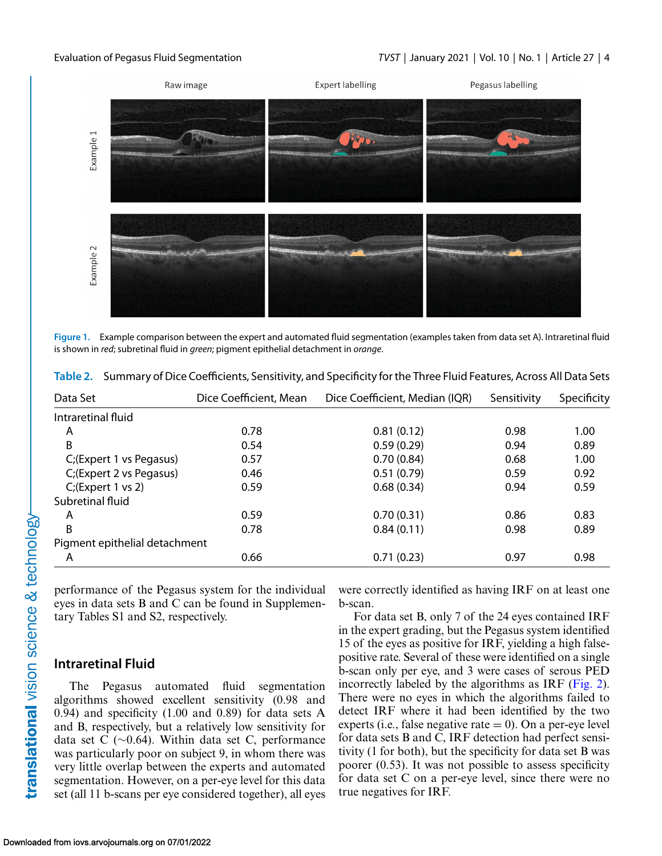<span id="page-3-0"></span>

**Figure 1.** Example comparison between the expert and automated fluid segmentation (examples taken from data set A). Intraretinal fluid is shown in *red*; subretinal fluid in *green*; pigment epithelial detachment in *orange*.

| Data Set                      | Dice Coefficient, Mean | Dice Coefficient, Median (IQR) | Sensitivity | Specificity |
|-------------------------------|------------------------|--------------------------------|-------------|-------------|
| Intraretinal fluid            |                        |                                |             |             |
| Α                             | 0.78                   | 0.81(0.12)                     | 0.98        | 1.00        |
| B                             | 0.54                   | 0.59(0.29)                     | 0.94        | 0.89        |
| C;(Expert 1 vs Pegasus)       | 0.57                   | 0.70(0.84)                     | 0.68        | 1.00        |
| C;(Expert 2 vs Pegasus)       | 0.46                   | 0.51(0.79)                     | 0.59        | 0.92        |
| $C_i$ (Expert 1 vs 2)         | 0.59                   | 0.68(0.34)                     | 0.94        | 0.59        |
| Subretinal fluid              |                        |                                |             |             |
| Α                             | 0.59                   | 0.70(0.31)                     | 0.86        | 0.83        |
| B                             | 0.78                   | 0.84(0.11)                     | 0.98        | 0.89        |
| Pigment epithelial detachment |                        |                                |             |             |
| A                             | 0.66                   | 0.71(0.23)                     | 0.97        | 0.98        |

**Table 2.** Summary of Dice Coefficients, Sensitivity, and Specificity for the Three Fluid Features, Across All Data Sets

performance of the Pegasus system for the individual eyes in data sets B and C can be found in Supplementary Tables S1 and S2, respectively.

### **Intraretinal Fluid**

The Pegasus automated fluid segmentation algorithms showed excellent sensitivity (0.98 and 0.94) and specificity (1.00 and 0.89) for data sets A and B, respectively, but a relatively low sensitivity for data set C (∼0.64). Within data set C, performance was particularly poor on subject 9, in whom there was very little overlap between the experts and automated segmentation. However, on a per-eye level for this data set (all 11 b-scans per eye considered together), all eyes were correctly identified as having IRF on at least one b-scan.

For data set B, only 7 of the 24 eyes contained IRF in the expert grading, but the Pegasus system identified 15 of the eyes as positive for IRF, yielding a high falsepositive rate. Several of these were identified on a single b-scan only per eye, and 3 were cases of serous PED incorrectly labeled by the algorithms as IRF [\(Fig. 2\)](#page-4-0). There were no eyes in which the algorithms failed to detect IRF where it had been identified by the two experts (i.e., false negative rate  $= 0$ ). On a per-eye level for data sets B and C, IRF detection had perfect sensitivity (1 for both), but the specificity for data set B was poorer (0.53). It was not possible to assess specificity for data set C on a per-eye level, since there were no true negatives for IRF.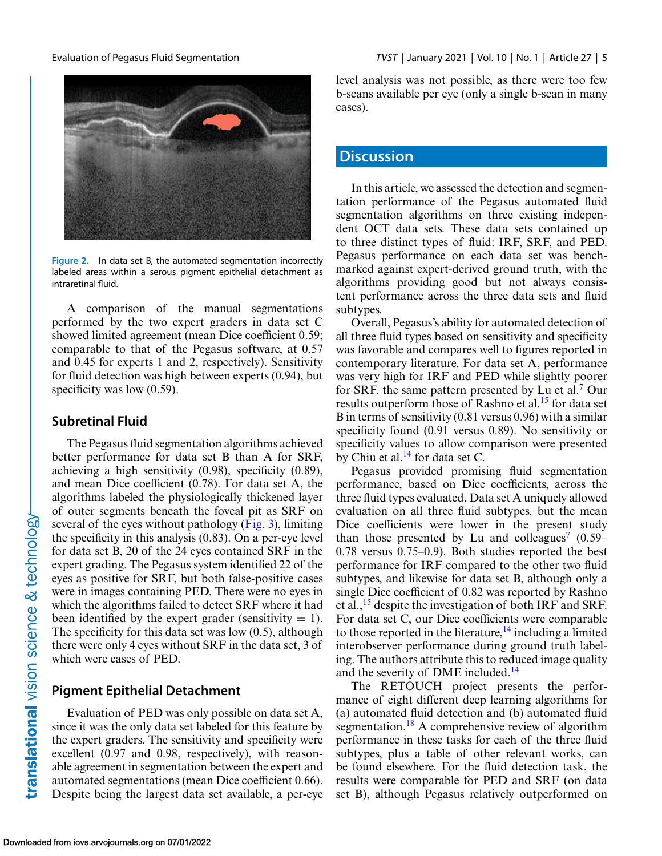<span id="page-4-0"></span>

**Figure 2.** In data set B, the automated segmentation incorrectly labeled areas within a serous pigment epithelial detachment as intraretinal fluid.

A comparison of the manual segmentations performed by the two expert graders in data set C showed limited agreement (mean Dice coefficient 0.59; comparable to that of the Pegasus software, at 0.57 and 0.45 for experts 1 and 2, respectively). Sensitivity for fluid detection was high between experts (0.94), but specificity was low  $(0.59)$ .

### **Subretinal Fluid**

The Pegasus fluid segmentation algorithms achieved better performance for data set B than A for SRF, achieving a high sensitivity (0.98), specificity (0.89), and mean Dice coefficient (0.78). For data set A, the algorithms labeled the physiologically thickened layer of outer segments beneath the foveal pit as SRF on several of the eyes without pathology  $(Fig. 3)$ , limiting the specificity in this analysis (0.83). On a per-eye level for data set B, 20 of the 24 eyes contained SRF in the expert grading. The Pegasus system identified 22 of the eyes as positive for SRF, but both false-positive cases were in images containing PED. There were no eyes in which the algorithms failed to detect SRF where it had been identified by the expert grader (sensitivity  $= 1$ ). The specificity for this data set was low (0.5), although there were only 4 eyes without SRF in the data set, 3 of which were cases of PED.

### **Pigment Epithelial Detachment**

Evaluation of PED was only possible on data set A, since it was the only data set labeled for this feature by the expert graders. The sensitivity and specificity were excellent (0.97 and 0.98, respectively), with reasonable agreement in segmentation between the expert and automated segmentations (mean Dice coefficient 0.66). Despite being the largest data set available, a per-eye level analysis was not possible, as there were too few b-scans available per eye (only a single b-scan in many cases).

# **Discussion**

In this article, we assessed the detection and segmentation performance of the Pegasus automated fluid segmentation algorithms on three existing independent OCT data sets. These data sets contained up to three distinct types of fluid: IRF, SRF, and PED. Pegasus performance on each data set was benchmarked against expert-derived ground truth, with the algorithms providing good but not always consistent performance across the three data sets and fluid subtypes.

Overall, Pegasus's ability for automated detection of all three fluid types based on sensitivity and specificity was favorable and compares well to figures reported in contemporary literature. For data set A, performance was very high for IRF and PED while slightly poorer for SRF, the same pattern presented by Lu et al.<sup>7</sup> Our results outperform those of Rashno et al.<sup>[15](#page-7-0)</sup> for data set B in terms of sensitivity (0.81 versus 0.96) with a similar specificity found (0.91 versus 0.89). No sensitivity or specificity values to allow comparison were presented by Chiu et al. $^{14}$  for data set C.

Pegasus provided promising fluid segmentation performance, based on Dice coefficients, across the three fluid types evaluated. Data set A uniquely allowed evaluation on all three fluid subtypes, but the mean Dice coefficients were lower in the present study than those presented by Lu and colleagues<sup>7</sup> (0.59– 0.78 versus 0.75–0.9). Both studies reported the best performance for IRF compared to the other two fluid subtypes, and likewise for data set B, although only a single Dice coefficient of 0.82 was reported by Rashno et al.,  $^{15}$  despite the investigation of both IRF and SRF. For data set C, our Dice coefficients were comparable to those reported in the literature,  $^{14}$  $^{14}$  $^{14}$  including a limited interobserver performance during ground truth labeling. The authors attribute this to reduced image quality and the severity of DME included.<sup>14</sup>

The RETOUCH project presents the performance of eight different deep learning algorithms for (a) automated fluid detection and (b) automated fluid segmentation.<sup>[18](#page-7-0)</sup> A comprehensive review of algorithm performance in these tasks for each of the three fluid subtypes, plus a table of other relevant works, can be found elsewhere. For the fluid detection task, the results were comparable for PED and SRF (on data set B), although Pegasus relatively outperformed on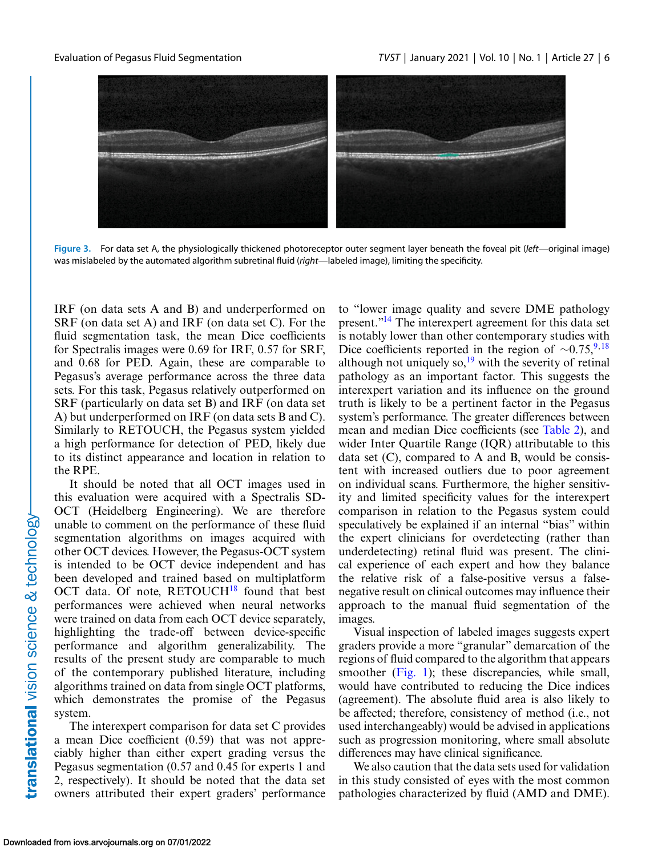<span id="page-5-0"></span>



IRF (on data sets A and B) and underperformed on SRF (on data set A) and IRF (on data set C). For the fluid segmentation task, the mean Dice coefficients for Spectralis images were 0.69 for IRF, 0.57 for SRF, and 0.68 for PED. Again, these are comparable to Pegasus's average performance across the three data sets. For this task, Pegasus relatively outperformed on SRF (particularly on data set B) and IRF (on data set A) but underperformed on IRF (on data sets B and C). Similarly to RETOUCH, the Pegasus system yielded a high performance for detection of PED, likely due to its distinct appearance and location in relation to the RPE.

It should be noted that all OCT images used in this evaluation were acquired with a Spectralis SD-OCT (Heidelberg Engineering). We are therefore unable to comment on the performance of these fluid segmentation algorithms on images acquired with other OCT devices. However, the Pegasus-OCT system is intended to be OCT device independent and has been developed and trained based on multiplatform OCT data. Of note,  $RETOUCH^{18}$  $RETOUCH^{18}$  $RETOUCH^{18}$  found that best performances were achieved when neural networks were trained on data from each OCT device separately, highlighting the trade-off between device-specific performance and algorithm generalizability. The results of the present study are comparable to much of the contemporary published literature, including algorithms trained on data from single OCT platforms, which demonstrates the promise of the Pegasus system.

The interexpert comparison for data set C provides a mean Dice coefficient (0.59) that was not appreciably higher than either expert grading versus the Pegasus segmentation (0.57 and 0.45 for experts 1 and 2, respectively). It should be noted that the data set owners attributed their expert graders' performance to "lower image quality and severe DME pathology present.["14](#page-7-0) The interexpert agreement for this data set is notably lower than other contemporary studies with Dice coefficients reported in the region of  $\sim$ 0.75,<sup>[9,](#page-6-0)[18](#page-7-0)</sup> although not uniquely so, $^{19}$  $^{19}$  $^{19}$  with the severity of retinal pathology as an important factor. This suggests the interexpert variation and its influence on the ground truth is likely to be a pertinent factor in the Pegasus system's performance. The greater differences between mean and median Dice coefficients (see [Table 2\)](#page-3-0), and wider Inter Quartile Range (IQR) attributable to this data set  $(C)$ , compared to A and B, would be consistent with increased outliers due to poor agreement on individual scans. Furthermore, the higher sensitivity and limited specificity values for the interexpert comparison in relation to the Pegasus system could speculatively be explained if an internal "bias" within the expert clinicians for overdetecting (rather than underdetecting) retinal fluid was present. The clinical experience of each expert and how they balance the relative risk of a false-positive versus a falsenegative result on clinical outcomes may influence their approach to the manual fluid segmentation of the images.

Visual inspection of labeled images suggests expert graders provide a more "granular" demarcation of the regions of fluid compared to the algorithm that appears smoother [\(Fig. 1\)](#page-3-0); these discrepancies, while small, would have contributed to reducing the Dice indices (agreement). The absolute fluid area is also likely to be affected; therefore, consistency of method (i.e., not used interchangeably) would be advised in applications such as progression monitoring, where small absolute differences may have clinical significance.

We also caution that the data sets used for validation in this study consisted of eyes with the most common pathologies characterized by fluid (AMD and DME).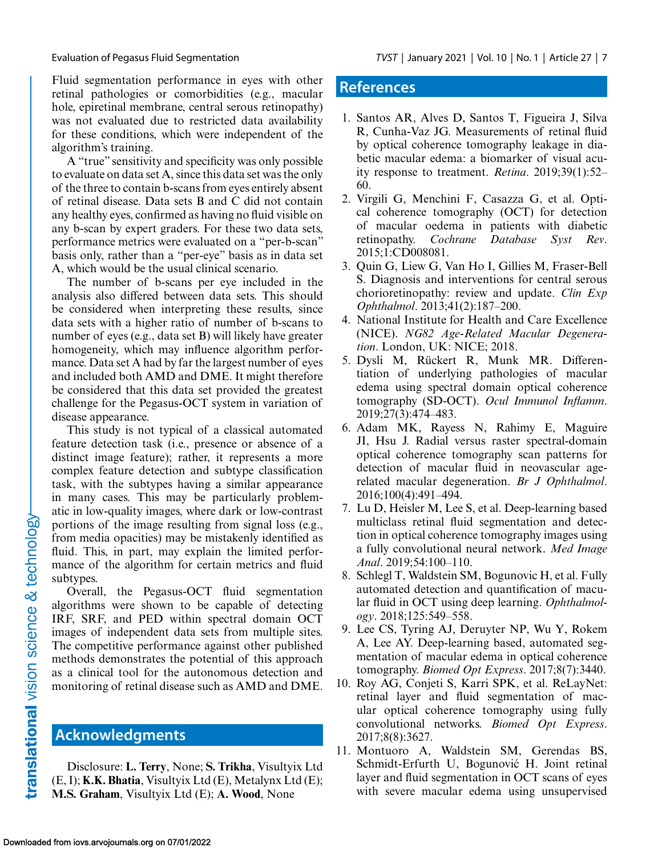<span id="page-6-0"></span>Fluid segmentation performance in eyes with other retinal pathologies or comorbidities (e.g., macular hole, epiretinal membrane, central serous retinopathy) was not evaluated due to restricted data availability for these conditions, which were independent of the algorithm's training.

A "true" sensitivity and specificity was only possible to evaluate on data set A, since this data set was the only of the three to contain b-scans from eyes entirely absent of retinal disease. Data sets B and C did not contain any healthy eyes, confirmed as having no fluid visible on any b-scan by expert graders. For these two data sets, performance metrics were evaluated on a "per-b-scan" basis only, rather than a "per-eye" basis as in data set A, which would be the usual clinical scenario.

The number of b-scans per eye included in the analysis also differed between data sets. This should be considered when interpreting these results, since data sets with a higher ratio of number of b-scans to number of eyes (e.g., data set B) will likely have greater homogeneity, which may influence algorithm performance. Data set A had by far the largest number of eyes and included both AMD and DME. It might therefore be considered that this data set provided the greatest challenge for the Pegasus-OCT system in variation of disease appearance.

This study is not typical of a classical automated feature detection task (i.e., presence or absence of a distinct image feature); rather, it represents a more complex feature detection and subtype classification task, with the subtypes having a similar appearance in many cases. This may be particularly problematic in low-quality images, where dark or low-contrast portions of the image resulting from signal loss (e.g., from media opacities) may be mistakenly identified as fluid. This, in part, may explain the limited performance of the algorithm for certain metrics and fluid subtypes.

Overall, the Pegasus-OCT fluid segmentation algorithms were shown to be capable of detecting IRF, SRF, and PED within spectral domain OCT images of independent data sets from multiple sites. The competitive performance against other published methods demonstrates the potential of this approach as a clinical tool for the autonomous detection and monitoring of retinal disease such as AMD and DME.

# **Acknowledgments**

Disclosure: **L. Terry**, None; **S. Trikha**, Visultyix Ltd (E, I); **K.K. Bhatia**, Visultyix Ltd (E), Metalynx Ltd (E); **M.S. Graham**, Visultyix Ltd (E); **A. Wood**, None

# **References**

- 1. Santos AR, Alves D, Santos T, Figueira J, Silva R, Cunha-Vaz JG. Measurements of retinal fluid by optical coherence tomography leakage in diabetic macular edema: a biomarker of visual acuity response to treatment. *Retina*. 2019;39(1):52– 60.
- 2. Virgili G, Menchini F, Casazza G, et al. Optical coherence tomography (OCT) for detection of macular oedema in patients with diabetic retinopathy. *Cochrane Database Syst Rev*. 2015;1:CD008081.
- 3. Quin G, Liew G, Van Ho I, Gillies M, Fraser-Bell S. Diagnosis and interventions for central serous chorioretinopathy: review and update. *Clin Exp Ophthalmol*. 2013;41(2):187–200.
- 4. National Institute for Health and Care Excellence (NICE). *NG82 Age-Related Macular Degeneration*. London, UK: NICE; 2018.
- 5. Dysli M, Rückert R, Munk MR. Differentiation of underlying pathologies of macular edema using spectral domain optical coherence tomography (SD-OCT). *Ocul Immunol Inflamm*. 2019;27(3):474–483.
- 6. Adam MK, Rayess N, Rahimy E, Maguire JI, Hsu J. Radial versus raster spectral-domain optical coherence tomography scan patterns for detection of macular fluid in neovascular agerelated macular degeneration. *Br J Ophthalmol*. 2016;100(4):491–494.
- 7. Lu D, Heisler M, Lee S, et al. Deep-learning based multiclass retinal fluid segmentation and detection in optical coherence tomography images using a fully convolutional neural network. *Med Image Anal*. 2019;54:100–110.
- 8. Schlegl T, Waldstein SM, Bogunovic H, et al. Fully automated detection and quantification of macular fluid in OCT using deep learning. *Ophthalmology*. 2018;125:549–558.
- 9. Lee CS, Tyring AJ, Deruyter NP, Wu Y, Rokem A, Lee AY. Deep-learning based, automated segmentation of macular edema in optical coherence tomography. *Biomed Opt Express*. 2017;8(7):3440.
- 10. Roy AG, Conjeti S, Karri SPK, et al. ReLayNet: retinal layer and fluid segmentation of macular optical coherence tomography using fully convolutional networks. *Biomed Opt Express*. 2017;8(8):3627.
- 11. Montuoro A, Waldstein SM, Gerendas BS, Schmidt-Erfurth U, Bogunović H. Joint retinal layer and fluid segmentation in OCT scans of eyes with severe macular edema using unsupervised